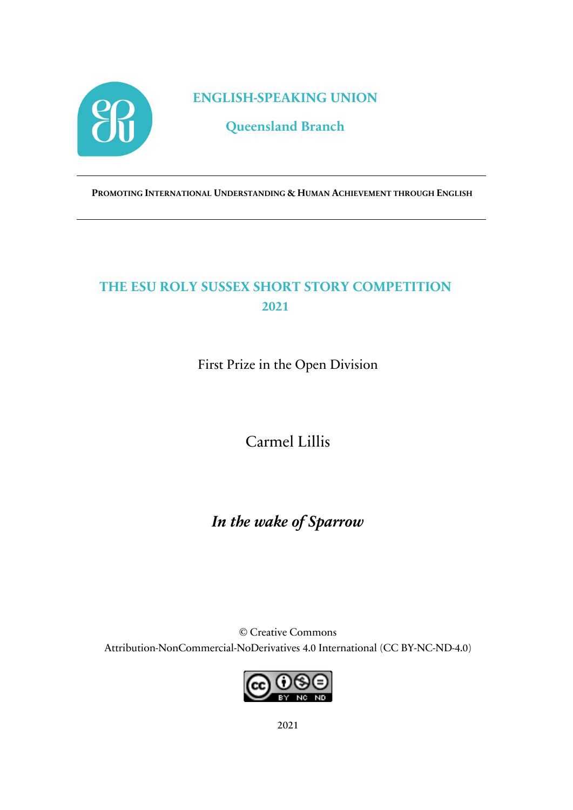

**ENGLISH-SPEAKING UNION**

**Queensland Branch**

**PROMOTING INTERNATIONAL UNDERSTANDING & HUMAN ACHIEVEMENT THROUGH ENGLISH**

## **THE ESU ROLY SUSSEX SHORT STORY COMPETITION 2021**

First Prize in the Open Division

Carmel Lillis

*In the wake of Sparrow*

© Creative Commons Attribution-NonCommercial-NoDerivatives 4.0 International (CC BY-NC-ND-4.0)



2021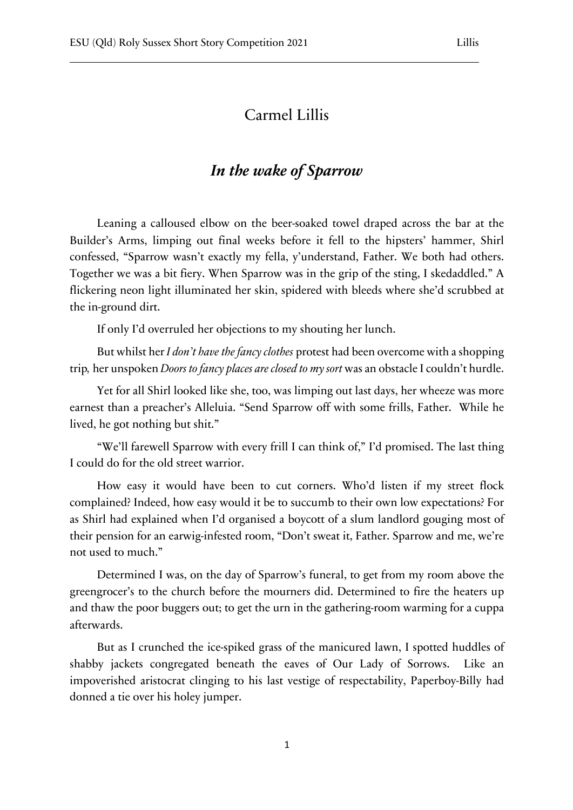## Carmel Lillis

## *In the wake of Sparrow*

Leaning a calloused elbow on the beer-soaked towel draped across the bar at the Builder's Arms, limping out final weeks before it fell to the hipsters' hammer, Shirl confessed, "Sparrow wasn't exactly my fella, y'understand, Father. We both had others. Together we was a bit fiery. When Sparrow was in the grip of the sting, I skedaddled." A flickering neon light illuminated her skin, spidered with bleeds where she'd scrubbed at the in-ground dirt.

If only I'd overruled her objections to my shouting her lunch.

But whilst her *I don't have the fancy clothes* protest had been overcome with a shopping trip*,* her unspoken *Doors to fancy places are closed to my sort* was an obstacle I couldn't hurdle.

Yet for all Shirl looked like she, too, was limping out last days, her wheeze was more earnest than a preacher's Alleluia. "Send Sparrow off with some frills, Father. While he lived, he got nothing but shit."

"We'll farewell Sparrow with every frill I can think of," I'd promised. The last thing I could do for the old street warrior.

How easy it would have been to cut corners. Who'd listen if my street flock complained? Indeed, how easy would it be to succumb to their own low expectations? For as Shirl had explained when I'd organised a boycott of a slum landlord gouging most of their pension for an earwig-infested room, "Don't sweat it, Father. Sparrow and me, we're not used to much."

Determined I was, on the day of Sparrow's funeral, to get from my room above the greengrocer's to the church before the mourners did. Determined to fire the heaters up and thaw the poor buggers out; to get the urn in the gathering-room warming for a cuppa afterwards.

But as I crunched the ice-spiked grass of the manicured lawn, I spotted huddles of shabby jackets congregated beneath the eaves of Our Lady of Sorrows. Like an impoverished aristocrat clinging to his last vestige of respectability, Paperboy-Billy had donned a tie over his holey jumper.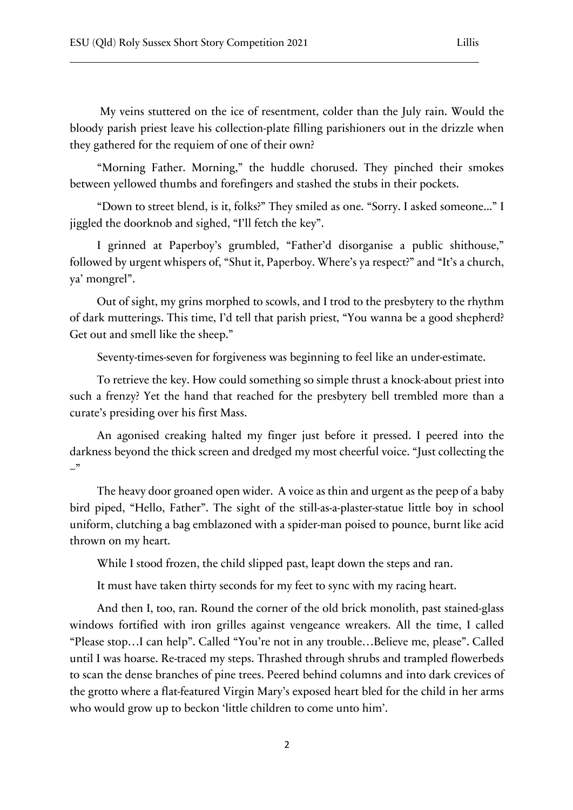My veins stuttered on the ice of resentment, colder than the July rain. Would the bloody parish priest leave his collection-plate filling parishioners out in the drizzle when they gathered for the requiem of one of their own?

"Morning Father. Morning," the huddle chorused. They pinched their smokes between yellowed thumbs and forefingers and stashed the stubs in their pockets.

"Down to street blend, is it, folks?" They smiled as one. "Sorry. I asked someone..." I jiggled the doorknob and sighed, "I'll fetch the key".

I grinned at Paperboy's grumbled, "Father'd disorganise a public shithouse," followed by urgent whispers of, "Shut it, Paperboy. Where's ya respect?" and "It's a church, ya' mongrel".

Out of sight, my grins morphed to scowls, and I trod to the presbytery to the rhythm of dark mutterings. This time, I'd tell that parish priest, "You wanna be a good shepherd? Get out and smell like the sheep."

Seventy-times-seven for forgiveness was beginning to feel like an under-estimate.

To retrieve the key. How could something so simple thrust a knock-about priest into such a frenzy? Yet the hand that reached for the presbytery bell trembled more than a curate's presiding over his first Mass.

An agonised creaking halted my finger just before it pressed. I peered into the darkness beyond the thick screen and dredged my most cheerful voice. "Just collecting the  $-$ "

The heavy door groaned open wider. A voice as thin and urgent as the peep of a baby bird piped, "Hello, Father". The sight of the still-as-a-plaster-statue little boy in school uniform, clutching a bag emblazoned with a spider-man poised to pounce, burnt like acid thrown on my heart.

While I stood frozen, the child slipped past, leapt down the steps and ran.

It must have taken thirty seconds for my feet to sync with my racing heart.

And then I, too, ran. Round the corner of the old brick monolith, past stained-glass windows fortified with iron grilles against vengeance wreakers. All the time, I called "Please stop…I can help". Called "You're not in any trouble…Believe me, please". Called until I was hoarse. Re-traced my steps. Thrashed through shrubs and trampled flowerbeds to scan the dense branches of pine trees. Peered behind columns and into dark crevices of the grotto where a flat-featured Virgin Mary's exposed heart bled for the child in her arms who would grow up to beckon 'little children to come unto him'.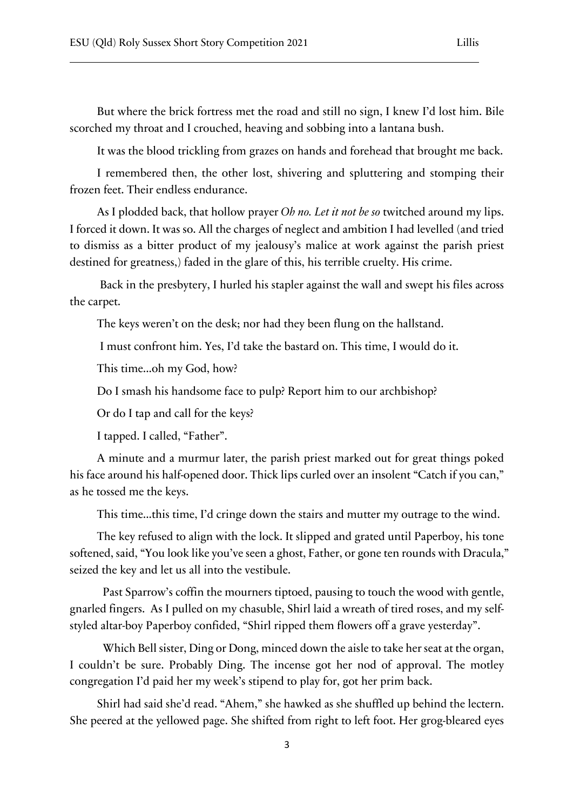But where the brick fortress met the road and still no sign, I knew I'd lost him. Bile scorched my throat and I crouched, heaving and sobbing into a lantana bush.

It was the blood trickling from grazes on hands and forehead that brought me back.

I remembered then, the other lost, shivering and spluttering and stomping their frozen feet. Their endless endurance.

As I plodded back, that hollow prayer *Oh no. Let it not be so* twitched around my lips. I forced it down. It was so. All the charges of neglect and ambition I had levelled (and tried to dismiss as a bitter product of my jealousy's malice at work against the parish priest destined for greatness,) faded in the glare of this, his terrible cruelty. His crime.

Back in the presbytery, I hurled his stapler against the wall and swept his files across the carpet.

The keys weren't on the desk; nor had they been flung on the hallstand.

I must confront him. Yes, I'd take the bastard on. This time, I would do it.

This time...oh my God, how?

Do I smash his handsome face to pulp? Report him to our archbishop?

Or do I tap and call for the keys?

I tapped. I called, "Father".

A minute and a murmur later, the parish priest marked out for great things poked his face around his half-opened door. Thick lips curled over an insolent "Catch if you can," as he tossed me the keys.

This time...this time, I'd cringe down the stairs and mutter my outrage to the wind.

The key refused to align with the lock. It slipped and grated until Paperboy, his tone softened, said, "You look like you've seen a ghost, Father, or gone ten rounds with Dracula," seized the key and let us all into the vestibule.

 Past Sparrow's coffin the mourners tiptoed, pausing to touch the wood with gentle, gnarled fingers. As I pulled on my chasuble, Shirl laid a wreath of tired roses, and my selfstyled altar-boy Paperboy confided, "Shirl ripped them flowers off a grave yesterday".

 Which Bell sister, Ding or Dong, minced down the aisle to take her seat at the organ, I couldn't be sure. Probably Ding. The incense got her nod of approval. The motley congregation I'd paid her my week's stipend to play for, got her prim back.

Shirl had said she'd read. "Ahem," she hawked as she shuffled up behind the lectern. She peered at the yellowed page. She shifted from right to left foot. Her grog-bleared eyes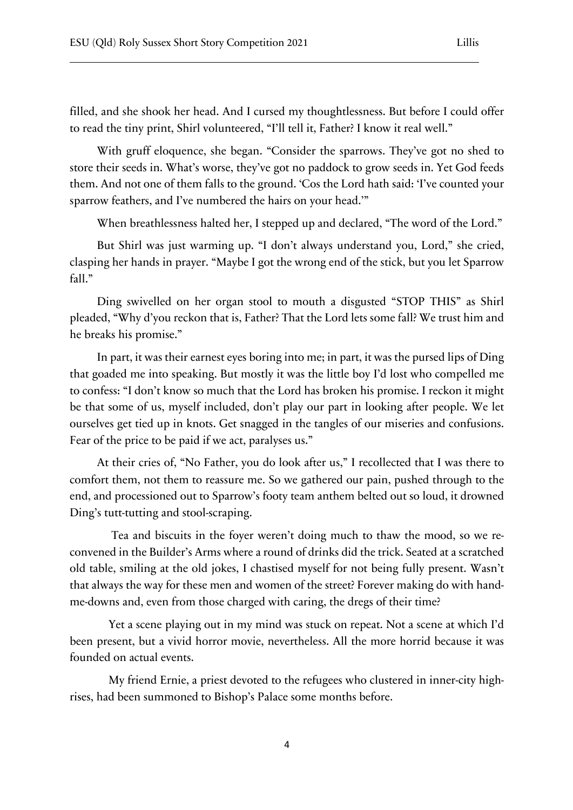filled, and she shook her head. And I cursed my thoughtlessness. But before I could offer to read the tiny print, Shirl volunteered, "I'll tell it, Father? I know it real well."

With gruff eloquence, she began. "Consider the sparrows. They've got no shed to store their seeds in. What's worse, they've got no paddock to grow seeds in. Yet God feeds them. And not one of them falls to the ground. 'Cos the Lord hath said: 'I've counted your sparrow feathers, and I've numbered the hairs on your head.'"

When breathlessness halted her, I stepped up and declared, "The word of the Lord."

But Shirl was just warming up. "I don't always understand you, Lord," she cried, clasping her hands in prayer. "Maybe I got the wrong end of the stick, but you let Sparrow fall."

Ding swivelled on her organ stool to mouth a disgusted "STOP THIS" as Shirl pleaded, "Why d'you reckon that is, Father? That the Lord lets some fall? We trust him and he breaks his promise."

In part, it was their earnest eyes boring into me; in part, it was the pursed lips of Ding that goaded me into speaking. But mostly it was the little boy I'd lost who compelled me to confess: "I don't know so much that the Lord has broken his promise. I reckon it might be that some of us, myself included, don't play our part in looking after people. We let ourselves get tied up in knots. Get snagged in the tangles of our miseries and confusions. Fear of the price to be paid if we act, paralyses us."

At their cries of, "No Father, you do look after us," I recollected that I was there to comfort them, not them to reassure me. So we gathered our pain, pushed through to the end, and processioned out to Sparrow's footy team anthem belted out so loud, it drowned Ding's tutt-tutting and stool-scraping.

 Tea and biscuits in the foyer weren't doing much to thaw the mood, so we reconvened in the Builder's Arms where a round of drinks did the trick. Seated at a scratched old table, smiling at the old jokes, I chastised myself for not being fully present. Wasn't that always the way for these men and women of the street? Forever making do with handme-downs and, even from those charged with caring, the dregs of their time?

 Yet a scene playing out in my mind was stuck on repeat. Not a scene at which I'd been present, but a vivid horror movie, nevertheless. All the more horrid because it was founded on actual events.

 My friend Ernie, a priest devoted to the refugees who clustered in inner-city highrises, had been summoned to Bishop's Palace some months before.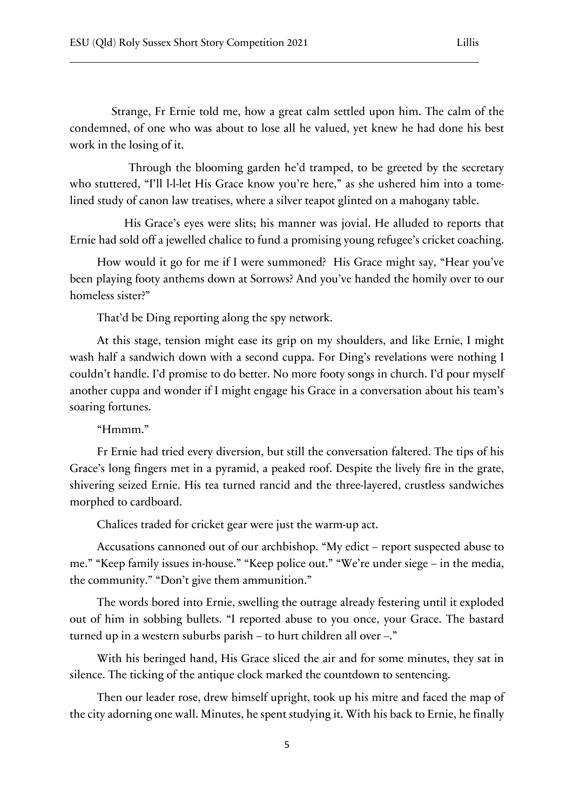Strange, Fr Ernie told me, how a great calm settled upon him. The calm of the condemned, of one who was about to lose all he valued, yet knew he had done his best work in the losing of it.

 Through the blooming garden he'd tramped, to be greeted by the secretary who stuttered, "I'll l-l-let His Grace know you're here," as she ushered him into a tomelined study of canon law treatises, where a silver teapot glinted on a mahogany table.

His Grace's eyes were slits; his manner was jovial. He alluded to reports that Ernie had sold off a jewelled chalice to fund a promising young refugee's cricket coaching.

How would it go for me if I were summoned? His Grace might say, "Hear you've been playing footy anthems down at Sorrows? And you've handed the homily over to our homeless sister?"

That'd be Ding reporting along the spy network.

At this stage, tension might ease its grip on my shoulders, and like Ernie, I might wash half a sandwich down with a second cuppa. For Ding's revelations were nothing I couldn't handle. I'd promise to do better. No more footy songs in church. I'd pour myself another cuppa and wonder if I might engage his Grace in a conversation about his team's soaring fortunes.

## "Hmmm."

Fr Ernie had tried every diversion, but still the conversation faltered. The tips of his Grace's long fingers met in a pyramid, a peaked roof. Despite the lively fire in the grate, shivering seized Ernie. His tea turned rancid and the three-layered, crustless sandwiches morphed to cardboard.

Chalices traded for cricket gear were just the warm-up act.

Accusations cannoned out of our archbishop. "My edict – report suspected abuse to me." "Keep family issues in-house." "Keep police out." "We're under siege – in the media, the community." "Don't give them ammunition."

The words bored into Ernie, swelling the outrage already festering until it exploded out of him in sobbing bullets. "I reported abuse to you once, your Grace. The bastard turned up in a western suburbs parish – to hurt children all over –."

With his beringed hand, His Grace sliced the air and for some minutes, they sat in silence. The ticking of the antique clock marked the countdown to sentencing.

Then our leader rose, drew himself upright, took up his mitre and faced the map of the city adorning one wall. Minutes, he spent studying it. With his back to Ernie, he finally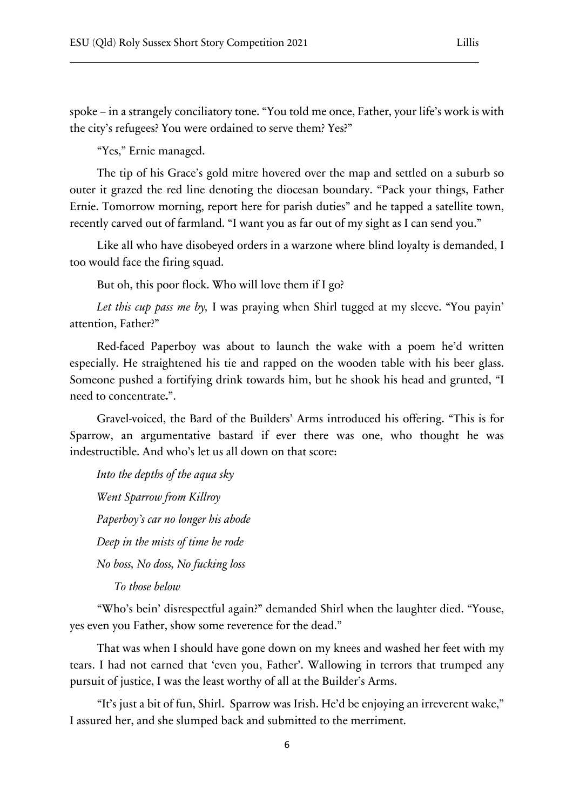spoke – in a strangely conciliatory tone. "You told me once, Father, your life's work is with the city's refugees? You were ordained to serve them? Yes?"

"Yes," Ernie managed.

The tip of his Grace's gold mitre hovered over the map and settled on a suburb so outer it grazed the red line denoting the diocesan boundary. "Pack your things, Father Ernie. Tomorrow morning, report here for parish duties" and he tapped a satellite town, recently carved out of farmland. "I want you as far out of my sight as I can send you."

Like all who have disobeyed orders in a warzone where blind loyalty is demanded, I too would face the firing squad.

But oh, this poor flock. Who will love them if I go?

*Let this cup pass me by,* I was praying when Shirl tugged at my sleeve. "You payin' attention, Father?"

Red-faced Paperboy was about to launch the wake with a poem he'd written especially. He straightened his tie and rapped on the wooden table with his beer glass. Someone pushed a fortifying drink towards him, but he shook his head and grunted, "I need to concentrate.".

Gravel-voiced, the Bard of the Builders' Arms introduced his offering. "This is for Sparrow, an argumentative bastard if ever there was one, who thought he was indestructible. And who's let us all down on that score:

*Into the depths of the aqua sky Went Sparrow from Killroy Paperboy's car no longer his abode Deep in the mists of time he rode No boss, No doss, No fucking loss To those below*

"Who's bein' disrespectful again?" demanded Shirl when the laughter died. "Youse, yes even you Father, show some reverence for the dead."

That was when I should have gone down on my knees and washed her feet with my tears. I had not earned that 'even you, Father'. Wallowing in terrors that trumped any pursuit of justice, I was the least worthy of all at the Builder's Arms.

"It's just a bit of fun, Shirl. Sparrow was Irish. He'd be enjoying an irreverent wake," I assured her, and she slumped back and submitted to the merriment.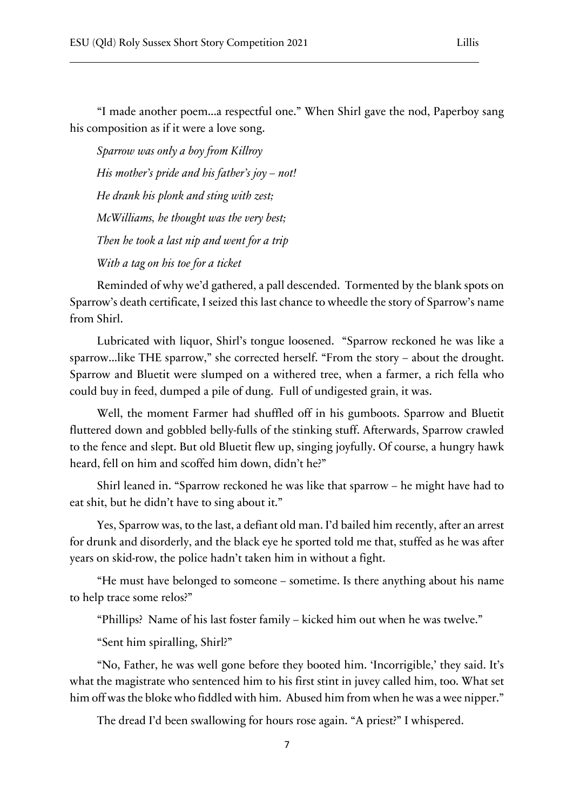"I made another poem...a respectful one." When Shirl gave the nod, Paperboy sang his composition as if it were a love song.

*Sparrow was only a boy from Killroy His mother's pride and his father's joy – not! He drank his plonk and sting with zest; McWilliams, he thought was the very best; Then he took a last nip and went for a trip With a tag on his toe for a ticket*

Reminded of why we'd gathered, a pall descended. Tormented by the blank spots on Sparrow's death certificate, I seized this last chance to wheedle the story of Sparrow's name from Shirl.

Lubricated with liquor, Shirl's tongue loosened. "Sparrow reckoned he was like a sparrow...like THE sparrow," she corrected herself. "From the story – about the drought. Sparrow and Bluetit were slumped on a withered tree, when a farmer, a rich fella who could buy in feed, dumped a pile of dung. Full of undigested grain, it was.

Well, the moment Farmer had shuffled off in his gumboots. Sparrow and Bluetit fluttered down and gobbled belly-fulls of the stinking stuff. Afterwards, Sparrow crawled to the fence and slept. But old Bluetit flew up, singing joyfully. Of course, a hungry hawk heard, fell on him and scoffed him down, didn't he?"

Shirl leaned in. "Sparrow reckoned he was like that sparrow – he might have had to eat shit, but he didn't have to sing about it."

Yes, Sparrow was, to the last, a defiant old man. I'd bailed him recently, after an arrest for drunk and disorderly, and the black eye he sported told me that, stuffed as he was after years on skid-row, the police hadn't taken him in without a fight.

"He must have belonged to someone – sometime. Is there anything about his name to help trace some relos?"

"Phillips? Name of his last foster family – kicked him out when he was twelve."

"Sent him spiralling, Shirl?"

"No, Father, he was well gone before they booted him. 'Incorrigible,' they said. It's what the magistrate who sentenced him to his first stint in juvey called him, too. What set him off was the bloke who fiddled with him. Abused him from when he was a wee nipper."

The dread I'd been swallowing for hours rose again. "A priest?" I whispered.